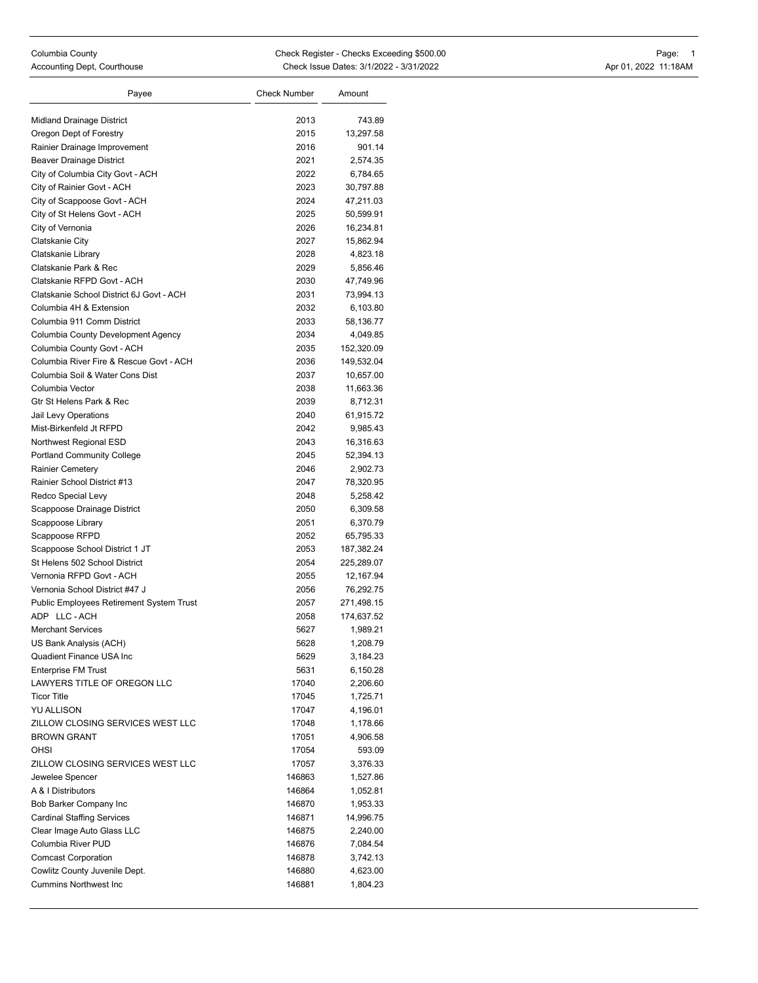| Payee                                    | <b>Check Number</b> | Amount     |
|------------------------------------------|---------------------|------------|
|                                          |                     |            |
| Midland Drainage District                | 2013                | 743.89     |
| Oregon Dept of Forestry                  | 2015                | 13,297.58  |
| Rainier Drainage Improvement             | 2016                | 901.14     |
| <b>Beaver Drainage District</b>          | 2021                | 2,574.35   |
| City of Columbia City Govt - ACH         | 2022                | 6,784.65   |
| City of Rainier Govt - ACH               | 2023                | 30,797.88  |
| City of Scappoose Govt - ACH             | 2024                | 47,211.03  |
| City of St Helens Govt - ACH             | 2025                | 50,599.91  |
| City of Vernonia                         | 2026                | 16,234.81  |
| Clatskanie City                          | 2027                | 15,862.94  |
| Clatskanie Library                       | 2028                | 4,823.18   |
| Clatskanie Park & Rec                    | 2029                | 5,856.46   |
| Clatskanie RFPD Govt - ACH               | 2030                | 47,749.96  |
| Clatskanie School District 6J Govt - ACH | 2031                | 73,994.13  |
| Columbia 4H & Extension                  | 2032                | 6,103.80   |
| Columbia 911 Comm District               | 2033                | 58,136.77  |
| Columbia County Development Agency       | 2034                | 4,049.85   |
| Columbia County Govt - ACH               | 2035                | 152,320.09 |
| Columbia River Fire & Rescue Govt - ACH  | 2036                | 149,532.04 |
| Columbia Soil & Water Cons Dist          | 2037                | 10,657.00  |
| Columbia Vector                          | 2038                | 11,663.36  |
| Gtr St Helens Park & Rec                 | 2039                | 8,712.31   |
| Jail Levy Operations                     | 2040                | 61,915.72  |
| Mist-Birkenfeld Jt RFPD                  | 2042                | 9,985.43   |
| Northwest Regional ESD                   | 2043                | 16,316.63  |
| <b>Portland Community College</b>        | 2045                | 52,394.13  |
| <b>Rainier Cemetery</b>                  | 2046                | 2,902.73   |
| Rainier School District #13              | 2047                | 78,320.95  |
| Redco Special Levy                       | 2048                | 5,258.42   |
| Scappoose Drainage District              | 2050                | 6,309.58   |
| Scappoose Library                        | 2051                | 6,370.79   |
| Scappoose RFPD                           | 2052                | 65,795.33  |
| Scappoose School District 1 JT           | 2053                | 187,382.24 |
| St Helens 502 School District            | 2054                | 225,289.07 |
| Vernonia RFPD Govt - ACH                 | 2055                | 12,167.94  |
| Vernonia School District #47 J           | 2056                | 76,292.75  |
| Public Employees Retirement System Trust | 2057                | 271,498.15 |
| ADP LLC-ACH                              | 2058                | 174,637.52 |
| <b>Merchant Services</b>                 | 5627                | 1,989.21   |
| US Bank Analysis (ACH)                   | 5628                | 1,208.79   |
| Quadient Finance USA Inc                 | 5629                | 3,184.23   |
| <b>Enterprise FM Trust</b>               | 5631                | 6,150.28   |
| <b>LAWYERS TITLE OF OREGON LLC</b>       | 17040               | 2,206.60   |
| <b>Ticor Title</b>                       | 17045               | 1,725.71   |
| YU ALLISON                               | 17047               | 4,196.01   |
| ZILLOW CLOSING SERVICES WEST LLC         | 17048               | 1,178.66   |
| <b>BROWN GRANT</b>                       | 17051               | 4,906.58   |
| OHSI                                     | 17054               | 593.09     |
| ZILLOW CLOSING SERVICES WEST LLC         | 17057               | 3,376.33   |
| Jewelee Spencer                          | 146863              | 1,527.86   |
| A & I Distributors                       | 146864              | 1,052.81   |
| Bob Barker Company Inc                   | 146870              | 1,953.33   |
| <b>Cardinal Staffing Services</b>        | 146871              | 14,996.75  |
| Clear Image Auto Glass LLC               | 146875              | 2,240.00   |
| Columbia River PUD                       | 146876              | 7,084.54   |
| <b>Comcast Corporation</b>               | 146878              | 3,742.13   |
| Cowlitz County Juvenile Dept.            | 146880              | 4,623.00   |
| <b>Cummins Northwest Inc</b>             | 146881              | 1,804.23   |
|                                          |                     |            |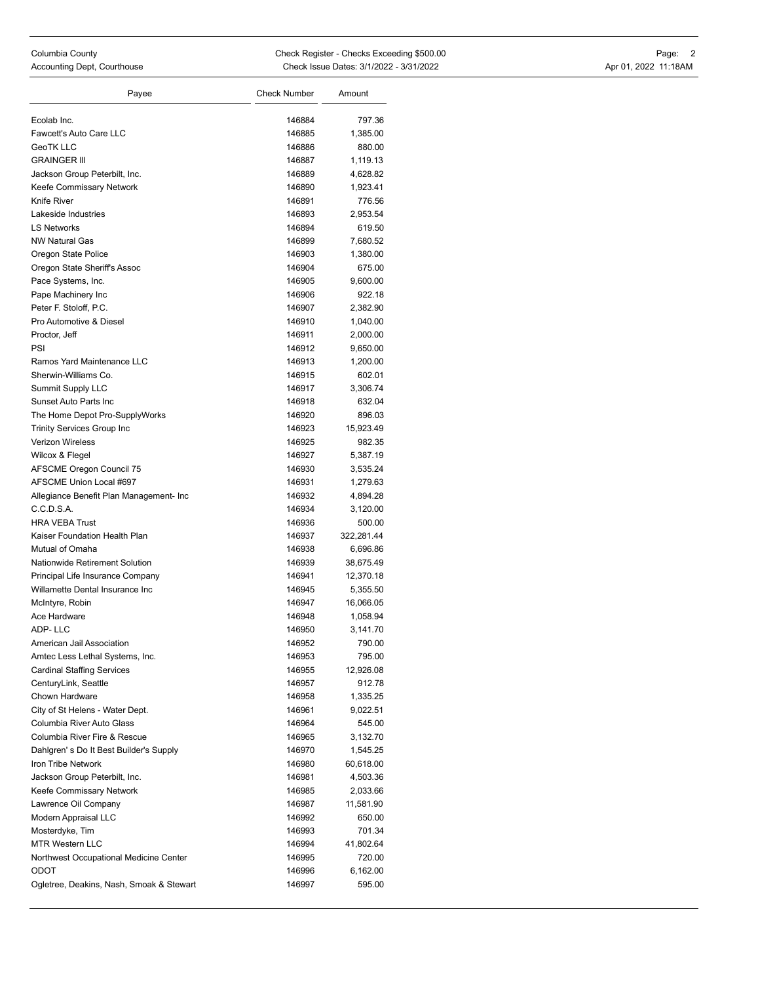| Payee                                    | <b>Check Number</b> | Amount     |
|------------------------------------------|---------------------|------------|
| Ecolab Inc.                              | 146884              | 797.36     |
| Fawcett's Auto Care LLC                  | 146885              | 1,385.00   |
| GeoTK LLC                                | 146886              | 880.00     |
| <b>GRAINGER III</b>                      | 146887              | 1,119.13   |
| Jackson Group Peterbilt, Inc.            | 146889              | 4,628.82   |
| Keefe Commissary Network                 | 146890              | 1,923.41   |
| Knife River                              | 146891              | 776.56     |
| Lakeside Industries                      | 146893              | 2,953.54   |
| <b>LS Networks</b>                       | 146894              | 619.50     |
| <b>NW Natural Gas</b>                    | 146899              | 7,680.52   |
| Oregon State Police                      | 146903              | 1,380.00   |
| Oregon State Sheriff's Assoc             | 146904              | 675.00     |
| Pace Systems, Inc.                       | 146905              | 9,600.00   |
| Pape Machinery Inc                       | 146906              | 922.18     |
| Peter F. Stoloff, P.C.                   | 146907              | 2,382.90   |
| Pro Automotive & Diesel                  | 146910              | 1,040.00   |
| Proctor, Jeff                            | 146911              | 2,000.00   |
| PSI                                      | 146912              | 9,650.00   |
| Ramos Yard Maintenance LLC               | 146913              | 1,200.00   |
| Sherwin-Williams Co.                     | 146915              | 602.01     |
| Summit Supply LLC                        | 146917              | 3,306.74   |
| Sunset Auto Parts Inc.                   | 146918              | 632.04     |
| The Home Depot Pro-SupplyWorks           | 146920              | 896.03     |
| <b>Trinity Services Group Inc</b>        | 146923              | 15,923.49  |
| <b>Verizon Wireless</b>                  | 146925              | 982.35     |
| Wilcox & Flegel                          | 146927              | 5,387.19   |
| <b>AFSCME Oregon Council 75</b>          | 146930              | 3,535.24   |
| AFSCME Union Local #697                  | 146931              | 1,279.63   |
| Allegiance Benefit Plan Management- Inc  | 146932              | 4,894.28   |
| C.C.D.S.A.                               | 146934              | 3,120.00   |
| <b>HRA VEBA Trust</b>                    | 146936              | 500.00     |
| Kaiser Foundation Health Plan            | 146937              | 322,281.44 |
| Mutual of Omaha                          | 146938              | 6,696.86   |
| Nationwide Retirement Solution           | 146939              | 38,675.49  |
| Principal Life Insurance Company         | 146941              | 12,370.18  |
| Willamette Dental Insurance Inc          | 146945              | 5,355.50   |
| McIntyre, Robin                          | 146947              | 16,066.05  |
| Ace Hardware                             | 146948              | 1,058.94   |
| ADP-LLC                                  | 146950              | 3,141.70   |
| American Jail Association                | 146952              | 790.00     |
| Amtec Less Lethal Systems, Inc.          | 146953              | 795.00     |
| <b>Cardinal Staffing Services</b>        | 146955              | 12,926.08  |
| CenturyLink, Seattle                     | 146957              | 912.78     |
| Chown Hardware                           | 146958              | 1,335.25   |
| City of St Helens - Water Dept.          | 146961              | 9,022.51   |
| Columbia River Auto Glass                | 146964              | 545.00     |
| Columbia River Fire & Rescue             | 146965              | 3,132.70   |
| Dahlgren's Do It Best Builder's Supply   | 146970              | 1,545.25   |
| Iron Tribe Network                       | 146980              | 60,618.00  |
| Jackson Group Peterbilt, Inc.            | 146981              | 4,503.36   |
| Keefe Commissary Network                 | 146985              | 2,033.66   |
| Lawrence Oil Company                     | 146987              | 11,581.90  |
| Modern Appraisal LLC                     | 146992              | 650.00     |
| Mosterdyke, Tim                          | 146993              | 701.34     |
| <b>MTR Western LLC</b>                   | 146994              | 41,802.64  |
| Northwest Occupational Medicine Center   | 146995              | 720.00     |
| ODOT                                     | 146996              | 6,162.00   |
| Ogletree, Deakins, Nash, Smoak & Stewart | 146997              | 595.00     |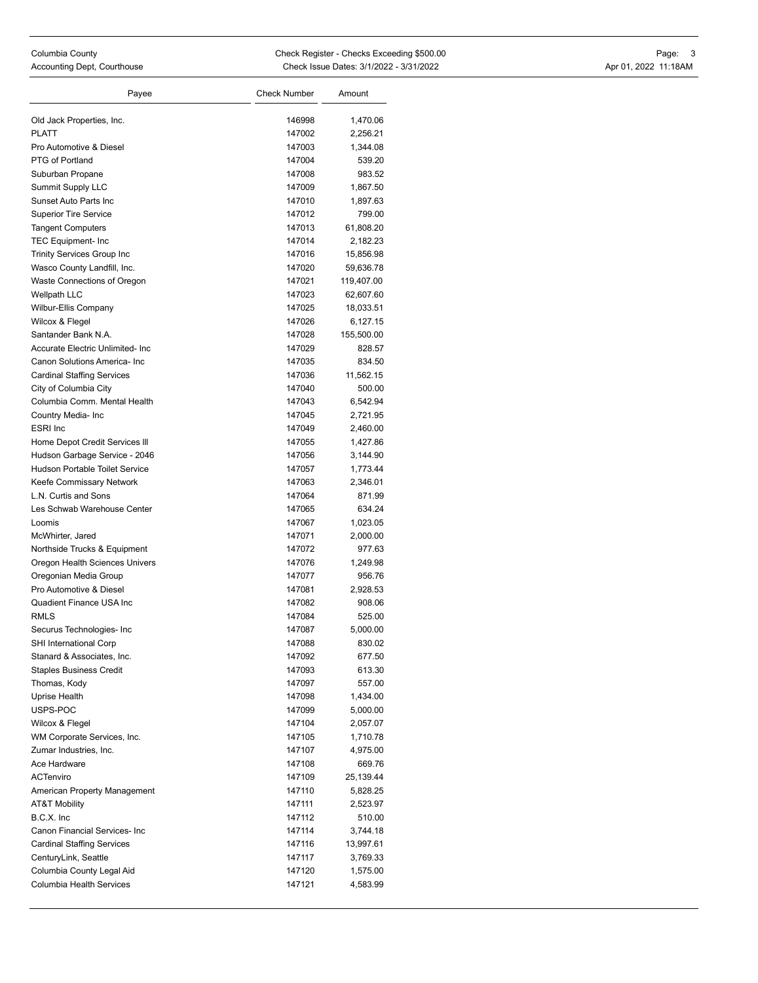| Columbia County         |
|-------------------------|
| Accounting Dept Courths |

| Payee                                 | <b>Check Number</b> | Amount     |
|---------------------------------------|---------------------|------------|
|                                       |                     |            |
| Old Jack Properties, Inc.             | 146998              | 1,470.06   |
| <b>PLATT</b>                          | 147002              | 2,256.21   |
| Pro Automotive & Diesel               | 147003              | 1,344.08   |
| PTG of Portland                       | 147004              | 539.20     |
| Suburban Propane                      | 147008              | 983.52     |
| Summit Supply LLC                     | 147009              | 1,867.50   |
| Sunset Auto Parts Inc                 | 147010              | 1,897.63   |
| <b>Superior Tire Service</b>          | 147012              | 799.00     |
| <b>Tangent Computers</b>              | 147013              | 61,808.20  |
| <b>TEC Equipment- Inc</b>             | 147014              | 2,182.23   |
| Trinity Services Group Inc            | 147016              | 15,856.98  |
| Wasco County Landfill, Inc.           | 147020              | 59,636.78  |
| Waste Connections of Oregon           | 147021              | 119,407.00 |
| <b>Wellpath LLC</b>                   | 147023              | 62,607.60  |
| Wilbur-Ellis Company                  | 147025              | 18,033.51  |
| Wilcox & Flegel                       | 147026              | 6,127.15   |
| Santander Bank N.A.                   | 147028              | 155,500.00 |
| Accurate Electric Unlimited- Inc      | 147029              | 828.57     |
| Canon Solutions America- Inc          | 147035              | 834.50     |
| <b>Cardinal Staffing Services</b>     | 147036              | 11,562.15  |
| City of Columbia City                 | 147040              | 500.00     |
| Columbia Comm. Mental Health          | 147043              | 6,542.94   |
| Country Media- Inc                    | 147045              | 2,721.95   |
| <b>ESRI</b> Inc                       | 147049              | 2,460.00   |
| Home Depot Credit Services III        | 147055              | 1,427.86   |
| Hudson Garbage Service - 2046         | 147056              | 3,144.90   |
| <b>Hudson Portable Toilet Service</b> | 147057              | 1,773.44   |
| Keefe Commissary Network              | 147063              | 2,346.01   |
| L.N. Curtis and Sons                  | 147064              | 871.99     |
| Les Schwab Warehouse Center           | 147065              | 634.24     |
| Loomis                                | 147067              | 1,023.05   |
| McWhirter, Jared                      | 147071              | 2,000.00   |
| Northside Trucks & Equipment          | 147072              | 977.63     |
| Oregon Health Sciences Univers        | 147076              | 1,249.98   |
| Oregonian Media Group                 | 147077              | 956.76     |
| Pro Automotive & Diesel               | 147081              | 2,928.53   |
| Quadient Finance USA Inc              | 147082              | 908.06     |
| <b>RMLS</b>                           | 147084              | 525.00     |
| Securus Technologies- Inc             | 147087              | 5.000.00   |
| SHI International Corp                | 147088              | 830.02     |
| Stanard & Associates, Inc.            | 147092              | 677.50     |
| <b>Staples Business Credit</b>        | 147093              | 613.30     |
| Thomas, Kody                          | 147097              | 557.00     |
| Uprise Health                         | 147098              | 1,434.00   |
| USPS-POC                              | 147099              | 5,000.00   |
| Wilcox & Flegel                       | 147104              | 2,057.07   |
| WM Corporate Services, Inc.           | 147105              | 1,710.78   |
| Zumar Industries, Inc.                | 147107              | 4,975.00   |
| Ace Hardware                          | 147108              | 669.76     |
| <b>ACTenviro</b>                      | 147109              | 25,139.44  |
| American Property Management          | 147110              | 5,828.25   |
| <b>AT&amp;T Mobility</b>              | 147111              | 2,523.97   |
| B.C.X. Inc.                           | 147112              | 510.00     |
| Canon Financial Services- Inc         | 147114              | 3,744.18   |
|                                       |                     |            |
| <b>Cardinal Staffing Services</b>     | 147116              | 13,997.61  |
| CenturyLink, Seattle                  | 147117              | 3,769.33   |
| Columbia County Legal Aid             | 147120              | 1,575.00   |